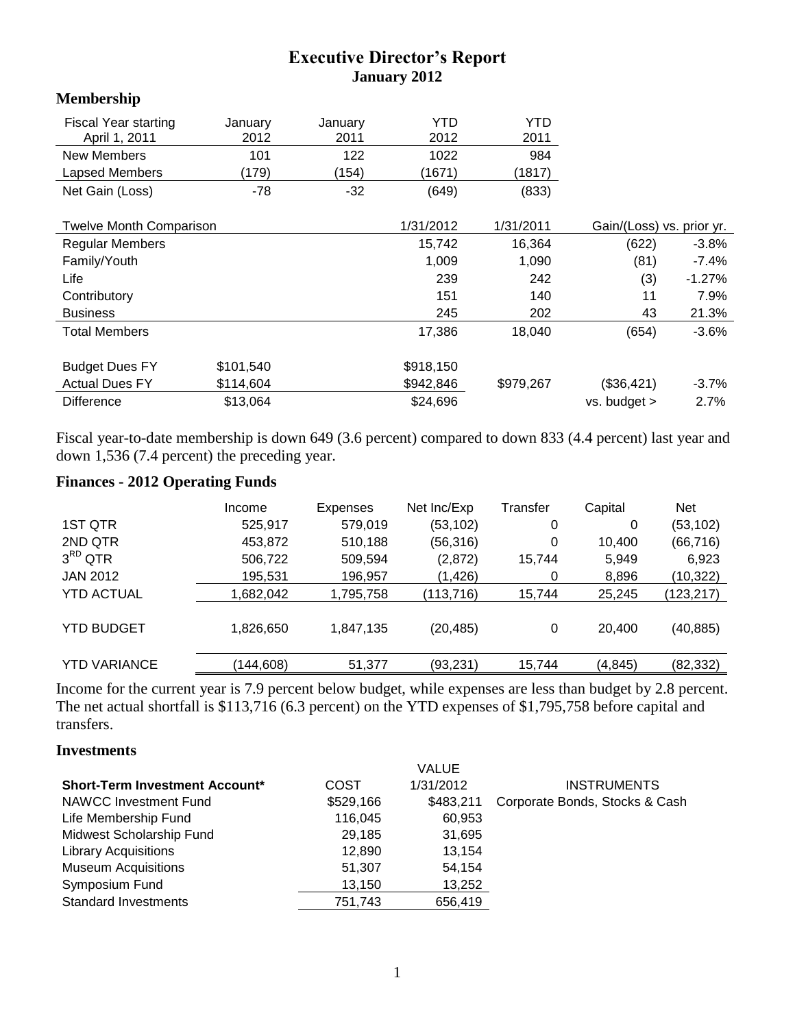## **Executive Director's Report January 2012**

#### **Membership**

| <b>Fiscal Year starting</b>    | January   | January | YTD       | YTD       |                           |          |
|--------------------------------|-----------|---------|-----------|-----------|---------------------------|----------|
| April 1, 2011                  | 2012      | 2011    | 2012      | 2011      |                           |          |
| New Members                    | 101       | 122     | 1022      | 984       |                           |          |
| Lapsed Members                 | (179)     | (154)   | (1671)    | (1817)    |                           |          |
| Net Gain (Loss)                | -78       | $-32$   | (649)     | (833)     |                           |          |
| <b>Twelve Month Comparison</b> |           |         | 1/31/2012 | 1/31/2011 | Gain/(Loss) vs. prior yr. |          |
|                                |           |         |           |           |                           |          |
| <b>Regular Members</b>         |           |         | 15,742    | 16,364    | (622)                     | $-3.8\%$ |
| Family/Youth                   |           |         | 1,009     | 1,090     | (81)                      | -7.4%    |
| Life                           |           |         | 239       | 242       | (3)                       | $-1.27%$ |
| Contributory                   |           |         | 151       | 140       | 11                        | 7.9%     |
| <b>Business</b>                |           |         | 245       | 202       | 43                        | 21.3%    |
| <b>Total Members</b>           |           |         | 17,386    | 18,040    | (654)                     | $-3.6\%$ |
| <b>Budget Dues FY</b>          | \$101,540 |         | \$918,150 |           |                           |          |
| <b>Actual Dues FY</b>          | \$114,604 |         | \$942,846 | \$979,267 | (\$36,421)                | -3.7%    |
| <b>Difference</b>              | \$13,064  |         | \$24,696  |           | $vs.$ budget $>$          | 2.7%     |

Fiscal year-to-date membership is down 649 (3.6 percent) compared to down 833 (4.4 percent) last year and down 1,536 (7.4 percent) the preceding year.

## **Finances - 2012 Operating Funds**

|                     | Income     | Expenses  | Net Inc/Exp | Transfer | Capital  | <b>Net</b> |
|---------------------|------------|-----------|-------------|----------|----------|------------|
| 1ST QTR             | 525,917    | 579,019   | (53,102)    | 0        | 0        | (53, 102)  |
| 2ND QTR             | 453,872    | 510,188   | (56, 316)   | 0        | 10,400   | (66, 716)  |
| $3^{RD}$ QTR        | 506,722    | 509,594   | (2,872)     | 15,744   | 5,949    | 6,923      |
| <b>JAN 2012</b>     | 195,531    | 196,957   | (1,426)     | 0        | 8,896    | (10,322)   |
| <b>YTD ACTUAL</b>   | 1,682,042  | 1,795,758 | (113, 716)  | 15,744   | 25,245   | (123, 217) |
| <b>YTD BUDGET</b>   | 1,826,650  | 1,847,135 | (20,485)    | 0        | 20,400   | (40, 885)  |
| <b>YTD VARIANCE</b> | (144, 608) | 51,377    | (93, 231)   | 15,744   | (4, 845) | (82, 332)  |
|                     |            |           |             |          |          |            |

Income for the current year is 7.9 percent below budget, while expenses are less than budget by 2.8 percent. The net actual shortfall is \$113,716 (6.3 percent) on the YTD expenses of \$1,795,758 before capital and transfers.

#### **Investments**

|                                       |           | <b>VALUE</b> |                                |
|---------------------------------------|-----------|--------------|--------------------------------|
| <b>Short-Term Investment Account*</b> | COST      | 1/31/2012    | <b>INSTRUMENTS</b>             |
| NAWCC Investment Fund                 | \$529,166 | \$483,211    | Corporate Bonds, Stocks & Cash |
| Life Membership Fund                  | 116,045   | 60,953       |                                |
| Midwest Scholarship Fund              | 29,185    | 31,695       |                                |
| <b>Library Acquisitions</b>           | 12,890    | 13.154       |                                |
| <b>Museum Acquisitions</b>            | 51,307    | 54.154       |                                |
| Symposium Fund                        | 13,150    | 13,252       |                                |
| <b>Standard Investments</b>           | 751,743   | 656,419      |                                |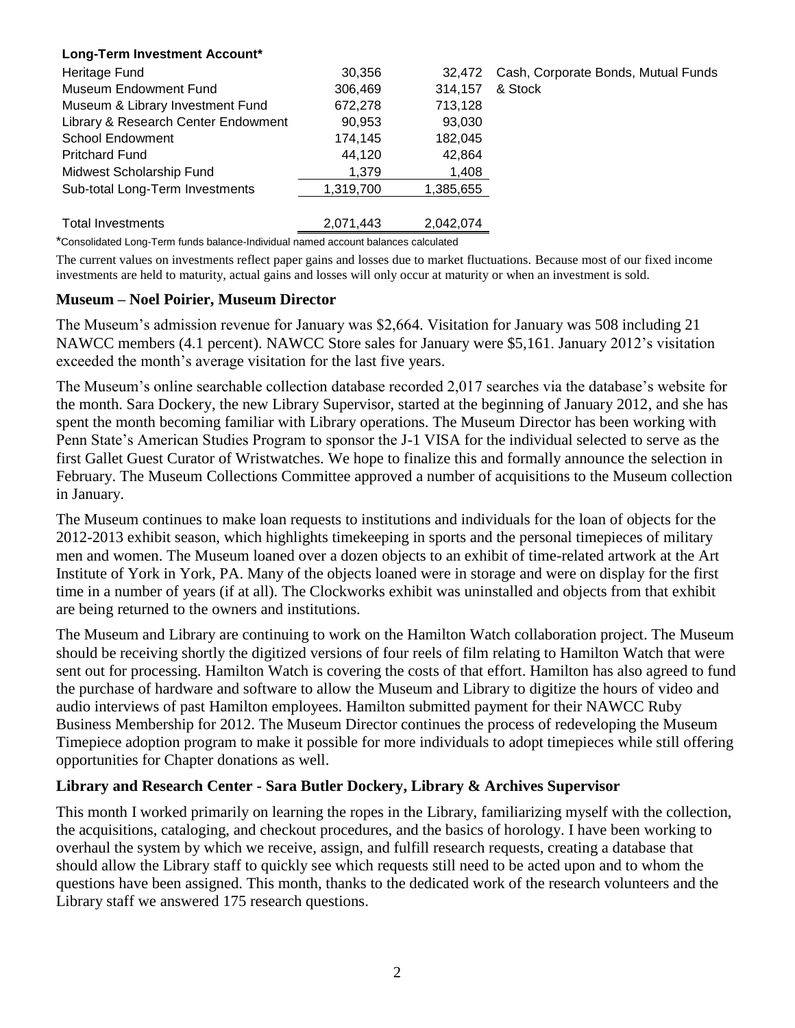#### **Long-Term Investment Account\***

| Heritage Fund                       | 30,356    | 32,472    | Cash, Corporate Bonds, Mutual Funds |
|-------------------------------------|-----------|-----------|-------------------------------------|
| Museum Endowment Fund               | 306,469   | 314,157   | & Stock                             |
| Museum & Library Investment Fund    | 672,278   | 713,128   |                                     |
| Library & Research Center Endowment | 90,953    | 93,030    |                                     |
| <b>School Endowment</b>             | 174.145   | 182.045   |                                     |
| <b>Pritchard Fund</b>               | 44,120    | 42,864    |                                     |
| Midwest Scholarship Fund            | 1,379     | 1,408     |                                     |
| Sub-total Long-Term Investments     | 1,319,700 | 1,385,655 |                                     |
| <b>Total Investments</b>            | 2.071.443 | 2.042.074 |                                     |

\*Consolidated Long-Term funds balance-Individual named account balances calculated

The current values on investments reflect paper gains and losses due to market fluctuations. Because most of our fixed income investments are held to maturity, actual gains and losses will only occur at maturity or when an investment is sold.

#### **Museum – Noel Poirier, Museum Director**

The Museum's admission revenue for January was \$2,664. Visitation for January was 508 including 21 NAWCC members (4.1 percent). NAWCC Store sales for January were \$5,161. January 2012's visitation exceeded the month's average visitation for the last five years.

The Museum's online searchable collection database recorded 2,017 searches via the database's website for the month. Sara Dockery, the new Library Supervisor, started at the beginning of January 2012, and she has spent the month becoming familiar with Library operations. The Museum Director has been working with Penn State's American Studies Program to sponsor the J-1 VISA for the individual selected to serve as the first Gallet Guest Curator of Wristwatches. We hope to finalize this and formally announce the selection in February. The Museum Collections Committee approved a number of acquisitions to the Museum collection in January.

The Museum continues to make loan requests to institutions and individuals for the loan of objects for the 2012-2013 exhibit season, which highlights timekeeping in sports and the personal timepieces of military men and women. The Museum loaned over a dozen objects to an exhibit of time-related artwork at the Art Institute of York in York, PA. Many of the objects loaned were in storage and were on display for the first time in a number of years (if at all). The Clockworks exhibit was uninstalled and objects from that exhibit are being returned to the owners and institutions.

The Museum and Library are continuing to work on the Hamilton Watch collaboration project. The Museum should be receiving shortly the digitized versions of four reels of film relating to Hamilton Watch that were sent out for processing. Hamilton Watch is covering the costs of that effort. Hamilton has also agreed to fund the purchase of hardware and software to allow the Museum and Library to digitize the hours of video and audio interviews of past Hamilton employees. Hamilton submitted payment for their NAWCC Ruby Business Membership for 2012. The Museum Director continues the process of redeveloping the Museum Timepiece adoption program to make it possible for more individuals to adopt timepieces while still offering opportunities for Chapter donations as well.

#### **Library and Research Center - Sara Butler Dockery, Library & Archives Supervisor**

This month I worked primarily on learning the ropes in the Library, familiarizing myself with the collection, the acquisitions, cataloging, and checkout procedures, and the basics of horology. I have been working to overhaul the system by which we receive, assign, and fulfill research requests, creating a database that should allow the Library staff to quickly see which requests still need to be acted upon and to whom the questions have been assigned. This month, thanks to the dedicated work of the research volunteers and the Library staff we answered 175 research questions.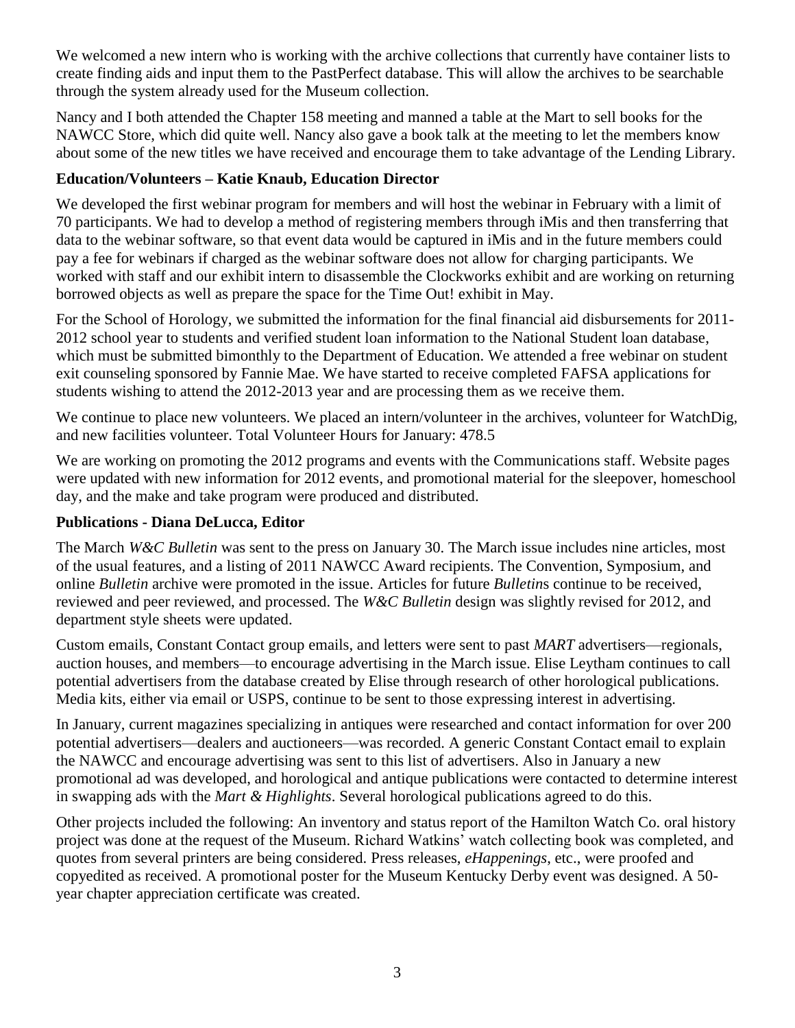We welcomed a new intern who is working with the archive collections that currently have container lists to create finding aids and input them to the PastPerfect database. This will allow the archives to be searchable through the system already used for the Museum collection.

Nancy and I both attended the Chapter 158 meeting and manned a table at the Mart to sell books for the NAWCC Store, which did quite well. Nancy also gave a book talk at the meeting to let the members know about some of the new titles we have received and encourage them to take advantage of the Lending Library.

## **Education/Volunteers – Katie Knaub, Education Director**

We developed the first webinar program for members and will host the webinar in February with a limit of 70 participants. We had to develop a method of registering members through iMis and then transferring that data to the webinar software, so that event data would be captured in iMis and in the future members could pay a fee for webinars if charged as the webinar software does not allow for charging participants. We worked with staff and our exhibit intern to disassemble the Clockworks exhibit and are working on returning borrowed objects as well as prepare the space for the Time Out! exhibit in May.

For the School of Horology, we submitted the information for the final financial aid disbursements for 2011- 2012 school year to students and verified student loan information to the National Student loan database, which must be submitted bimonthly to the Department of Education. We attended a free webinar on student exit counseling sponsored by Fannie Mae. We have started to receive completed FAFSA applications for students wishing to attend the 2012-2013 year and are processing them as we receive them.

We continue to place new volunteers. We placed an intern/volunteer in the archives, volunteer for WatchDig, and new facilities volunteer. Total Volunteer Hours for January: 478.5

We are working on promoting the 2012 programs and events with the Communications staff. Website pages were updated with new information for 2012 events, and promotional material for the sleepover, homeschool day, and the make and take program were produced and distributed.

## **Publications - Diana DeLucca, Editor**

The March *W&C Bulletin* was sent to the press on January 30. The March issue includes nine articles, most of the usual features, and a listing of 2011 NAWCC Award recipients. The Convention, Symposium, and online *Bulletin* archive were promoted in the issue. Articles for future *Bulletin*s continue to be received, reviewed and peer reviewed, and processed. The *W&C Bulletin* design was slightly revised for 2012, and department style sheets were updated.

Custom emails, Constant Contact group emails, and letters were sent to past *MART* advertisers—regionals, auction houses, and members—to encourage advertising in the March issue. Elise Leytham continues to call potential advertisers from the database created by Elise through research of other horological publications. Media kits, either via email or USPS, continue to be sent to those expressing interest in advertising.

In January, current magazines specializing in antiques were researched and contact information for over 200 potential advertisers—dealers and auctioneers—was recorded. A generic Constant Contact email to explain the NAWCC and encourage advertising was sent to this list of advertisers. Also in January a new promotional ad was developed, and horological and antique publications were contacted to determine interest in swapping ads with the *Mart & Highlights*. Several horological publications agreed to do this.

Other projects included the following: An inventory and status report of the Hamilton Watch Co. oral history project was done at the request of the Museum. Richard Watkins' watch collecting book was completed, and quotes from several printers are being considered. Press releases, *eHappenings*, etc., were proofed and copyedited as received. A promotional poster for the Museum Kentucky Derby event was designed. A 50 year chapter appreciation certificate was created.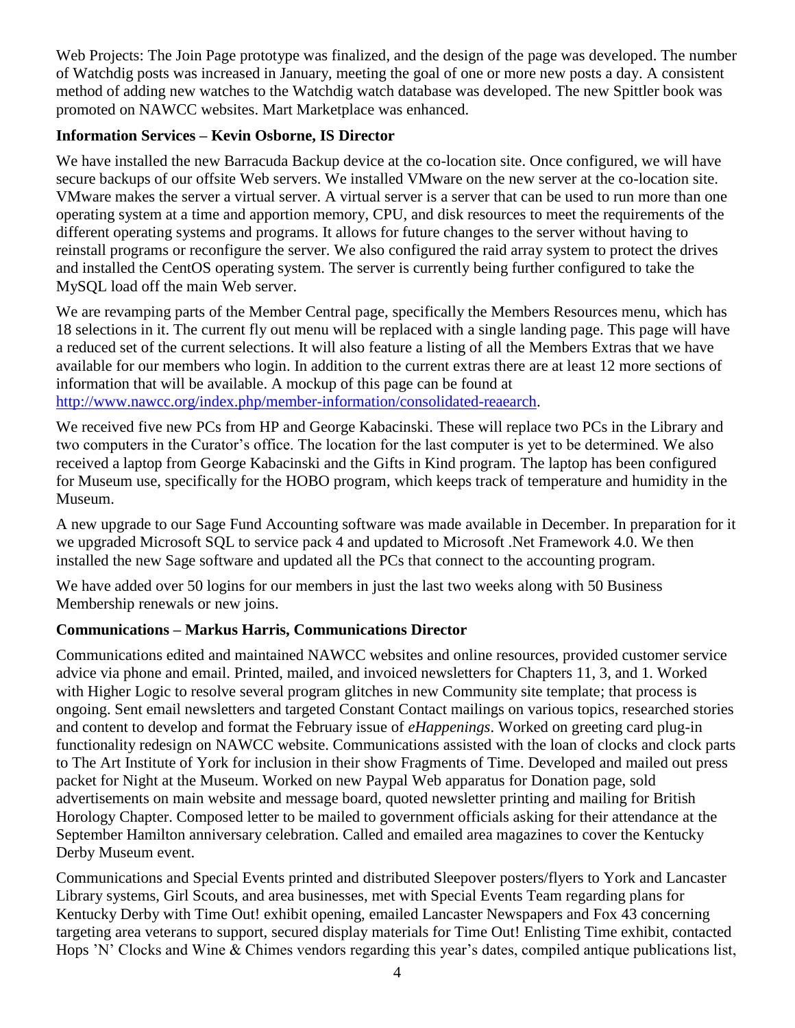Web Projects: The Join Page prototype was finalized, and the design of the page was developed. The number of Watchdig posts was increased in January, meeting the goal of one or more new posts a day. A consistent method of adding new watches to the Watchdig watch database was developed. The new Spittler book was promoted on NAWCC websites. Mart Marketplace was enhanced.

## **Information Services – Kevin Osborne, IS Director**

We have installed the new Barracuda Backup device at the co-location site. Once configured, we will have secure backups of our offsite Web servers. We installed VMware on the new server at the co-location site. VMware makes the server a virtual server. A virtual server is a server that can be used to run more than one operating system at a time and apportion memory, CPU, and disk resources to meet the requirements of the different operating systems and programs. It allows for future changes to the server without having to reinstall programs or reconfigure the server. We also configured the raid array system to protect the drives and installed the CentOS operating system. The server is currently being further configured to take the MySQL load off the main Web server.

We are revamping parts of the Member Central page, specifically the Members Resources menu, which has 18 selections in it. The current fly out menu will be replaced with a single landing page. This page will have a reduced set of the current selections. It will also feature a listing of all the Members Extras that we have available for our members who login. In addition to the current extras there are at least 12 more sections of information that will be available. A mockup of this page can be found at

[http://www.nawcc.org/index.php/member-information/consolidated-reaearch.](http://www.nawcc.org/index.php/member-information/consolidated-reaearch)

We received five new PCs from HP and George Kabacinski. These will replace two PCs in the Library and two computers in the Curator's office. The location for the last computer is yet to be determined. We also received a laptop from George Kabacinski and the Gifts in Kind program. The laptop has been configured for Museum use, specifically for the HOBO program, which keeps track of temperature and humidity in the Museum.

A new upgrade to our Sage Fund Accounting software was made available in December. In preparation for it we upgraded Microsoft SQL to service pack 4 and updated to Microsoft .Net Framework 4.0. We then installed the new Sage software and updated all the PCs that connect to the accounting program.

We have added over 50 logins for our members in just the last two weeks along with 50 Business Membership renewals or new joins.

## **Communications – Markus Harris, Communications Director**

Communications edited and maintained NAWCC websites and online resources, provided customer service advice via phone and email. Printed, mailed, and invoiced newsletters for Chapters 11, 3, and 1. Worked with Higher Logic to resolve several program glitches in new Community site template; that process is ongoing. Sent email newsletters and targeted Constant Contact mailings on various topics, researched stories and content to develop and format the February issue of *eHappenings*. Worked on greeting card plug-in functionality redesign on NAWCC website. Communications assisted with the loan of clocks and clock parts to The Art Institute of York for inclusion in their show Fragments of Time. Developed and mailed out press packet for Night at the Museum. Worked on new Paypal Web apparatus for Donation page, sold advertisements on main website and message board, quoted newsletter printing and mailing for British Horology Chapter. Composed letter to be mailed to government officials asking for their attendance at the September Hamilton anniversary celebration. Called and emailed area magazines to cover the Kentucky Derby Museum event.

Communications and Special Events printed and distributed Sleepover posters/flyers to York and Lancaster Library systems, Girl Scouts, and area businesses, met with Special Events Team regarding plans for Kentucky Derby with Time Out! exhibit opening, emailed Lancaster Newspapers and Fox 43 concerning targeting area veterans to support, secured display materials for Time Out! Enlisting Time exhibit, contacted Hops 'N' Clocks and Wine & Chimes vendors regarding this year's dates, compiled antique publications list,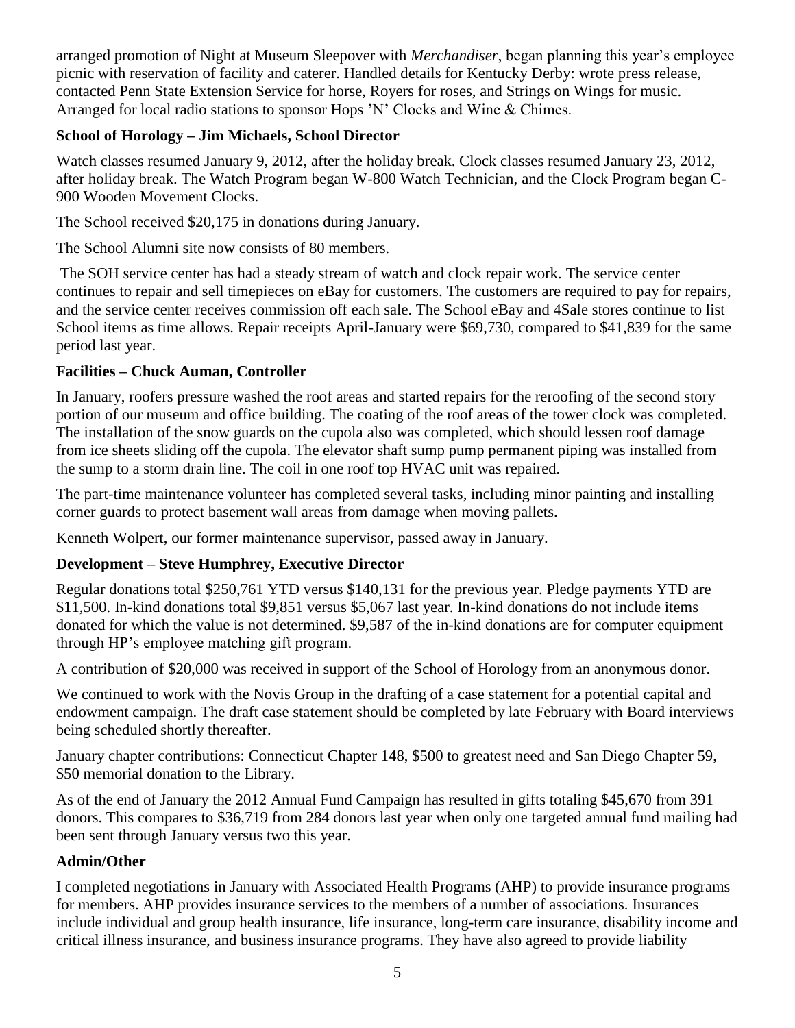arranged promotion of Night at Museum Sleepover with *Merchandiser*, began planning this year's employee picnic with reservation of facility and caterer. Handled details for Kentucky Derby: wrote press release, contacted Penn State Extension Service for horse, Royers for roses, and Strings on Wings for music. Arranged for local radio stations to sponsor Hops 'N' Clocks and Wine & Chimes.

# **School of Horology – Jim Michaels, School Director**

Watch classes resumed January 9, 2012, after the holiday break. Clock classes resumed January 23, 2012, after holiday break. The Watch Program began W-800 Watch Technician, and the Clock Program began C-900 Wooden Movement Clocks.

The School received \$20,175 in donations during January.

The School Alumni site now consists of 80 members.

The SOH service center has had a steady stream of watch and clock repair work. The service center continues to repair and sell timepieces on eBay for customers. The customers are required to pay for repairs, and the service center receives commission off each sale. The School eBay and 4Sale stores continue to list School items as time allows. Repair receipts April-January were \$69,730, compared to \$41,839 for the same period last year.

## **Facilities – Chuck Auman, Controller**

In January, roofers pressure washed the roof areas and started repairs for the reroofing of the second story portion of our museum and office building. The coating of the roof areas of the tower clock was completed. The installation of the snow guards on the cupola also was completed, which should lessen roof damage from ice sheets sliding off the cupola. The elevator shaft sump pump permanent piping was installed from the sump to a storm drain line. The coil in one roof top HVAC unit was repaired.

The part-time maintenance volunteer has completed several tasks, including minor painting and installing corner guards to protect basement wall areas from damage when moving pallets.

Kenneth Wolpert, our former maintenance supervisor, passed away in January.

## **Development – Steve Humphrey, Executive Director**

Regular donations total \$250,761 YTD versus \$140,131 for the previous year. Pledge payments YTD are \$11,500. In-kind donations total \$9,851 versus \$5,067 last year. In-kind donations do not include items donated for which the value is not determined. \$9,587 of the in-kind donations are for computer equipment through HP's employee matching gift program.

A contribution of \$20,000 was received in support of the School of Horology from an anonymous donor.

We continued to work with the Novis Group in the drafting of a case statement for a potential capital and endowment campaign. The draft case statement should be completed by late February with Board interviews being scheduled shortly thereafter.

January chapter contributions: Connecticut Chapter 148, \$500 to greatest need and San Diego Chapter 59, \$50 memorial donation to the Library.

As of the end of January the 2012 Annual Fund Campaign has resulted in gifts totaling \$45,670 from 391 donors. This compares to \$36,719 from 284 donors last year when only one targeted annual fund mailing had been sent through January versus two this year.

## **Admin/Other**

I completed negotiations in January with Associated Health Programs (AHP) to provide insurance programs for members. AHP provides insurance services to the members of a number of associations. Insurances include individual and group health insurance, life insurance, long-term care insurance, disability income and critical illness insurance, and business insurance programs. They have also agreed to provide liability